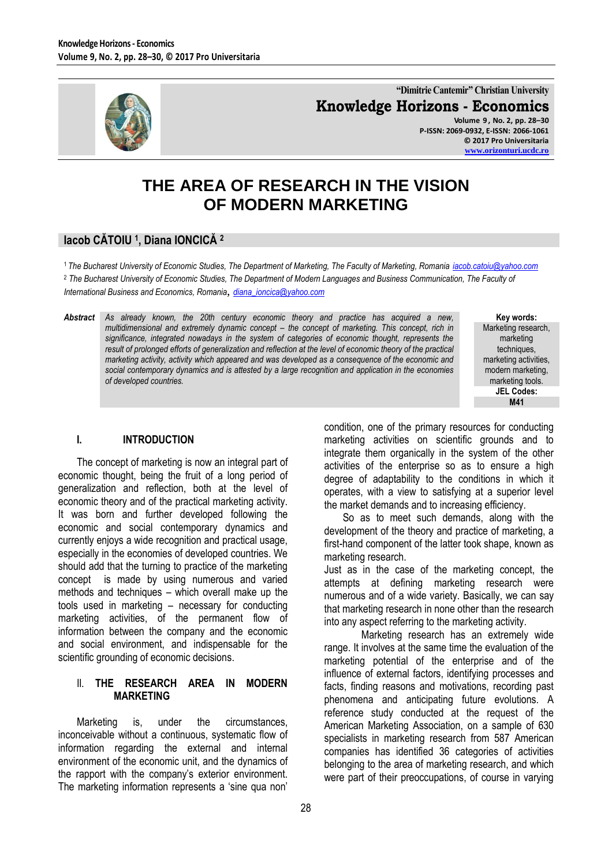

**"Dimitrie Cantemir" Christian University Knowledge Horizons - Economics Volume 9 , No. 2, pp. 28–30**

**P-ISSN: 2069-0932, E-ISSN: 2066-1061 © 2017 Pro Universitaria [www.orizonturi.ucdc.ro](http://www.orizonturi.ucdc.ro/)**

# **THE AREA OF RESEARCH IN THE VISION OF MODERN MARKETING**

## **Iacob CĂTOIU <sup>1</sup> , Diana IONCICĂ <sup>2</sup>**

<sup>1</sup>*The Bucharest University of Economic Studies, The Department of Marketing, The Faculty of Marketing, Romania [iacob.catoiu@yahoo.com](mailto:iacob.catoiu@yahoo.com)* <sup>2</sup> *The Bucharest University of Economic Studies, The Department of Modern Languages and Business Communication, The Faculty of International Business and Economics, Romania*, *[diana\\_ioncica@yahoo.com](mailto:diana_ioncica@yahoo.com)*

*Abstract As already known, the 20th century economic theory and practice has acquired a new, multidimensional and extremely dynamic concept – the concept of marketing. This concept, rich in significance, integrated nowadays in the system of categories of economic thought, represents the result of prolonged efforts of generalization and reflection at the level of economic theory of the practical marketing activity, activity which appeared and was developed as a consequence of the economic and social contemporary dynamics and is attested by a large recognition and application in the economies of developed countries.*

**Key words:** Marketing research, marketing techniques, marketing activities, modern marketing, marketing tools. **JEL Codes: M41**

## **I. INTRODUCTION**

The concept of marketing is now an integral part of economic thought, being the fruit of a long period of generalization and reflection, both at the level of economic theory and of the practical marketing activity. It was born and further developed following the economic and social contemporary dynamics and currently enjoys a wide recognition and practical usage, especially in the economies of developed countries. We should add that the turning to practice of the marketing concept is made by using numerous and varied methods and techniques – which overall make up the tools used in marketing – necessary for conducting marketing activities, of the permanent flow of information between the company and the economic and social environment, and indispensable for the scientific grounding of economic decisions.

#### II. **THE RESEARCH AREA IN MODERN MARKETING**

Marketing is, under the circumstances, inconceivable without a continuous, systematic flow of information regarding the external and internal environment of the economic unit, and the dynamics of the rapport with the company's exterior environment. The marketing information represents a 'sine qua non'

condition, one of the primary resources for conducting marketing activities on scientific grounds and to integrate them organically in the system of the other activities of the enterprise so as to ensure a high degree of adaptability to the conditions in which it operates, with a view to satisfying at a superior level the market demands and to increasing efficiency.

So as to meet such demands, along with the development of the theory and practice of marketing, a first-hand component of the latter took shape, known as marketing research.

Just as in the case of the marketing concept, the attempts at defining marketing research were numerous and of a wide variety. Basically, we can say that marketing research in none other than the research into any aspect referring to the marketing activity.

Marketing research has an extremely wide range. It involves at the same time the evaluation of the marketing potential of the enterprise and of the influence of external factors, identifying processes and facts, finding reasons and motivations, recording past phenomena and anticipating future evolutions. A reference study conducted at the request of the American Marketing Association, on a sample of 630 specialists in marketing research from 587 American companies has identified 36 categories of activities belonging to the area of marketing research, and which were part of their preoccupations, of course in varying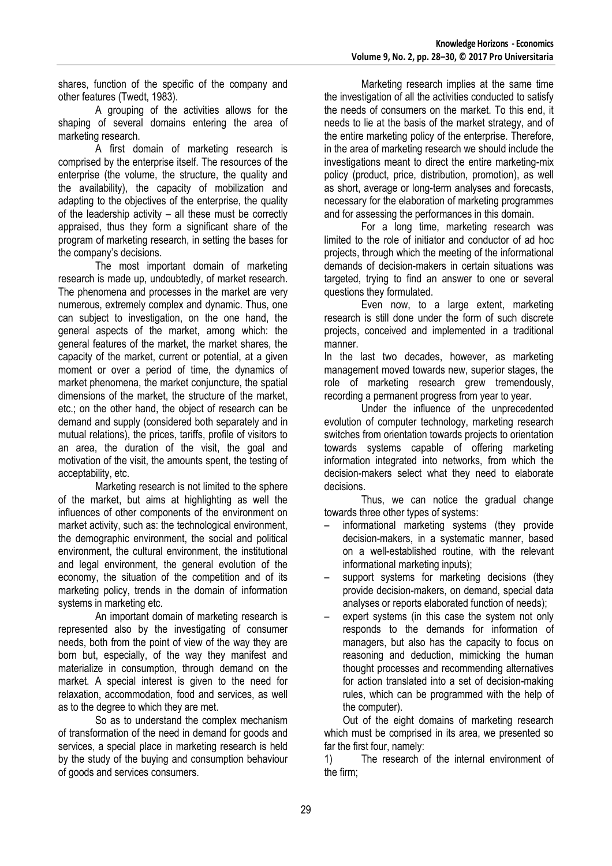shares, function of the specific of the company and other features (Twedt, 1983).

A grouping of the activities allows for the shaping of several domains entering the area of marketing research.

A first domain of marketing research is comprised by the enterprise itself. The resources of the enterprise (the volume, the structure, the quality and the availability), the capacity of mobilization and adapting to the objectives of the enterprise, the quality of the leadership activity – all these must be correctly appraised, thus they form a significant share of the program of marketing research, in setting the bases for the company's decisions.

The most important domain of marketing research is made up, undoubtedly, of market research. The phenomena and processes in the market are very numerous, extremely complex and dynamic. Thus, one can subject to investigation, on the one hand, the general aspects of the market, among which: the general features of the market, the market shares, the capacity of the market, current or potential, at a given moment or over a period of time, the dynamics of market phenomena, the market conjuncture, the spatial dimensions of the market, the structure of the market, etc.; on the other hand, the object of research can be demand and supply (considered both separately and in mutual relations), the prices, tariffs, profile of visitors to an area, the duration of the visit, the goal and motivation of the visit, the amounts spent, the testing of acceptability, etc.

Marketing research is not limited to the sphere of the market, but aims at highlighting as well the influences of other components of the environment on market activity, such as: the technological environment, the demographic environment, the social and political environment, the cultural environment, the institutional and legal environment, the general evolution of the economy, the situation of the competition and of its marketing policy, trends in the domain of information systems in marketing etc.

An important domain of marketing research is represented also by the investigating of consumer needs, both from the point of view of the way they are born but, especially, of the way they manifest and materialize in consumption, through demand on the market. A special interest is given to the need for relaxation, accommodation, food and services, as well as to the degree to which they are met.

So as to understand the complex mechanism of transformation of the need in demand for goods and services, a special place in marketing research is held by the study of the buying and consumption behaviour of goods and services consumers.

Marketing research implies at the same time the investigation of all the activities conducted to satisfy the needs of consumers on the market. To this end, it needs to lie at the basis of the market strategy, and of the entire marketing policy of the enterprise. Therefore, in the area of marketing research we should include the investigations meant to direct the entire marketing-mix policy (product, price, distribution, promotion), as well as short, average or long-term analyses and forecasts, necessary for the elaboration of marketing programmes and for assessing the performances in this domain.

For a long time, marketing research was limited to the role of initiator and conductor of ad hoc projects, through which the meeting of the informational demands of decision-makers in certain situations was targeted, trying to find an answer to one or several questions they formulated.

Even now, to a large extent, marketing research is still done under the form of such discrete projects, conceived and implemented in a traditional manner.

In the last two decades, however, as marketing management moved towards new, superior stages, the role of marketing research grew tremendously, recording a permanent progress from year to year.

Under the influence of the unprecedented evolution of computer technology, marketing research switches from orientation towards projects to orientation towards systems capable of offering marketing information integrated into networks, from which the decision-makers select what they need to elaborate decisions.

Thus, we can notice the gradual change towards three other types of systems:

- informational marketing systems (they provide decision-makers, in a systematic manner, based on a well-established routine, with the relevant informational marketing inputs);
- support systems for marketing decisions (they provide decision-makers, on demand, special data analyses or reports elaborated function of needs);
- expert systems (in this case the system not only responds to the demands for information of managers, but also has the capacity to focus on reasoning and deduction, mimicking the human thought processes and recommending alternatives for action translated into a set of decision-making rules, which can be programmed with the help of the computer).

Out of the eight domains of marketing research which must be comprised in its area, we presented so far the first four, namely:

1) The research of the internal environment of the firm;